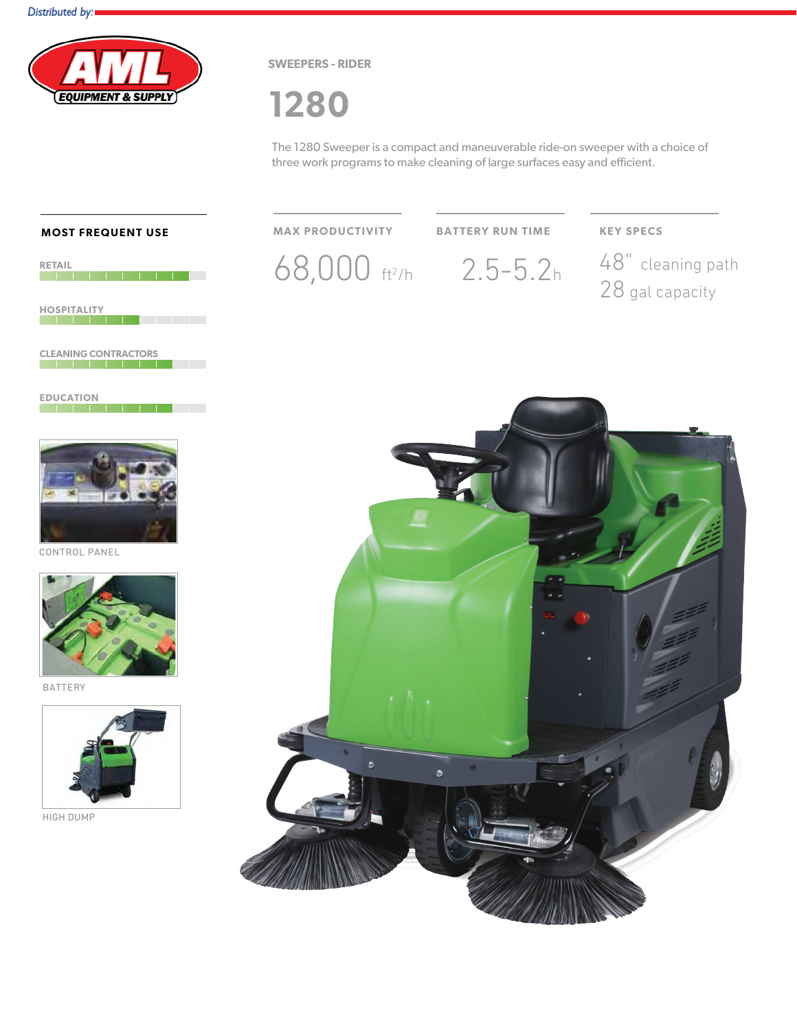

**SWEEPERS - RIDER** 

# 1280

The 1280 Sweeper is a compact and maneuverable ride-on sweeper with a choice of three work programs to make cleaning of large surfaces easy and efficient.

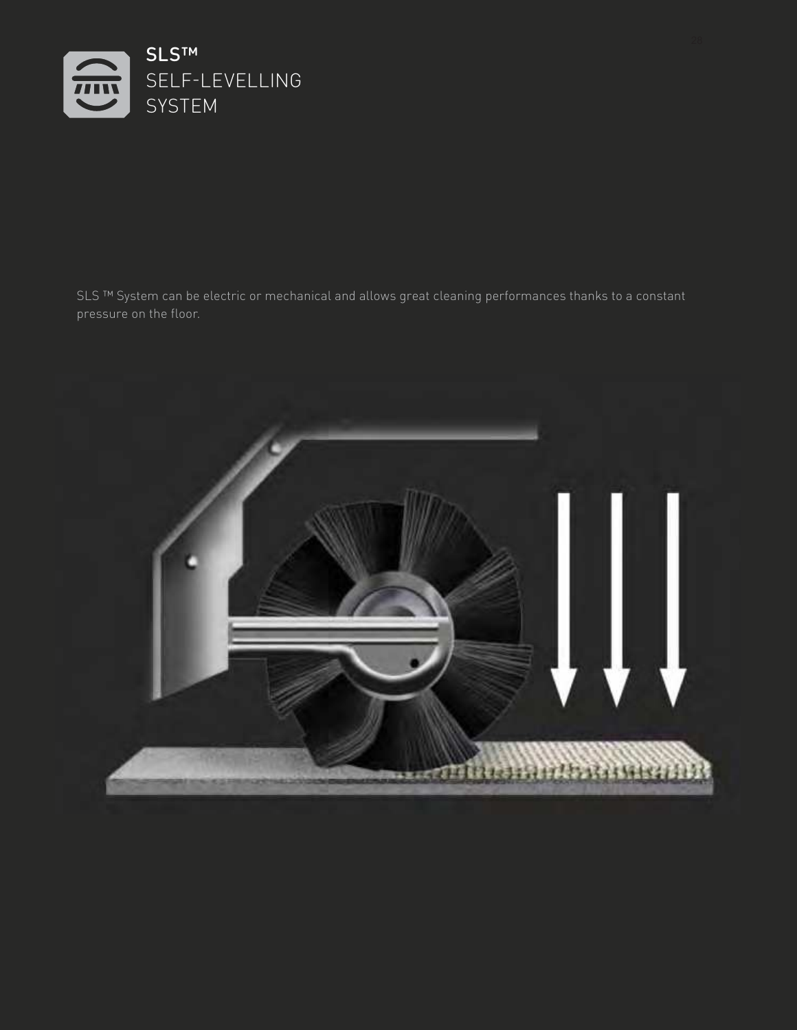

SLS ™ System can be electric or mechanical and allows great cleaning performances thanks to a constant pressure on the floor.

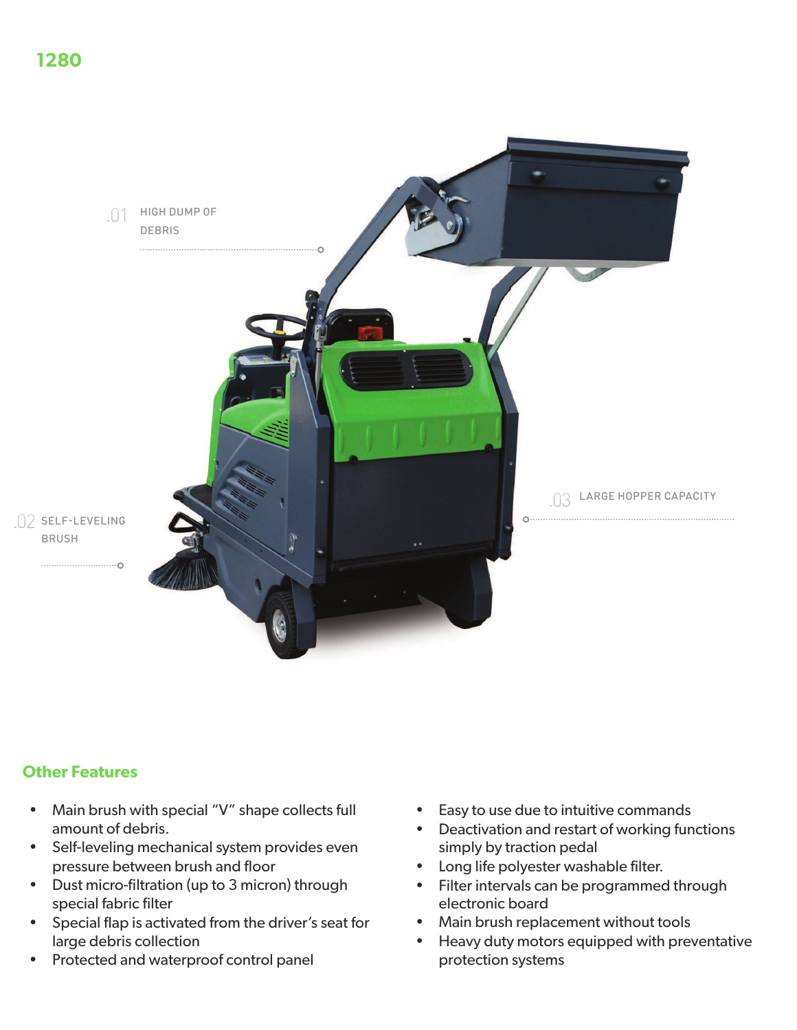

## **Other Features**

- Main brush with special "V" shape collects full amount of debris.
- Self-leveling mechanical system provides even pressure between brush and floor
- Dust micro-filtration (up to 3 micron) through special fabric filter
- Special flap is activated from the driver's seat for  $\bullet$ large debris collection
- Protected and waterproof control panel
- Easy to use due to intuitive commands  $\bullet$
- $\bullet$ Deactivation and restart of working functions simply by traction pedal
- Long life polyester washable filter.
- Filter intervals can be programmed through electronic board
- Main brush replacement without tools  $\bullet$
- $\bullet$ Heavy duty motors equipped with preventative protection systems